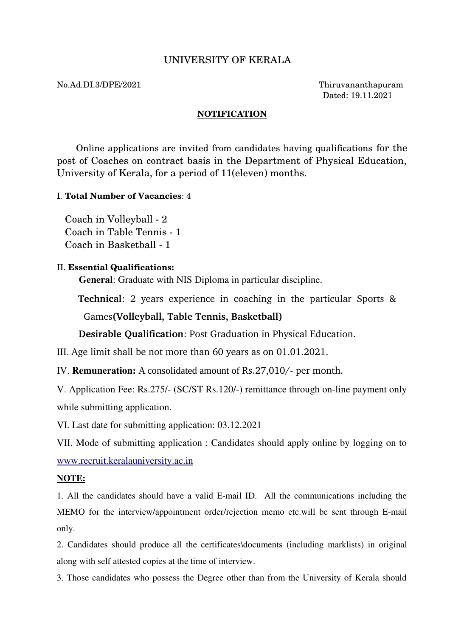# UNIVERSITY OF KERALA

#### No.Ad.DI.3/DPE/2021 Thiruvananthapuram

Dated: 19.11.2021

#### **NOTIFICATION**

 Online applications are invited from candidates having qualifications for the post of Coaches on contract basis in the Department of Physical Education, University of Kerala, for a period of 11(eleven) months.

## I. **Total Number of Vacancies**: 4

Coach in Volleyball - 2 Coach in Table Tennis - 1 Coach in Basketball - 1

### II. **Essential Qualifications:**

General: Graduate with NIS Diploma in particular discipline.

**Technical**: 2 years experience in coaching in the particular Sports &

Games**(Volleyball, Table Tennis, Basketball)**

**Desirable Qualification**: Post Graduation in Physical Education.

III. Age limit shall be not more than 60 years as on 01.01.2021.

IV. **Remuneration:** A consolidated amount of Rs.27,010/- per month.

V. Application Fee: Rs.275/- (SC/ST Rs.120/-) remittance through on-line payment only while submitting application.

VI. Last date for submitting application: 03.12.2021

VII. Mode of submitting application : Candidates should apply online by logging on to [www.recruit.keralauniversity.ac.in](http://www.recruit.keralauniversity.ac.in/)

## NOTE:

1. All the candidates should have a valid E-mail ID. All the communications including the MEMO for the interview/appointment order/rejection memo etc.will be sent through E-mail only.

2. Candidates should produce all the certificates\documents (including marklists) in original along with self attested copies at the time of interview.

3. Those candidates who possess the Degree other than from the University of Kerala should